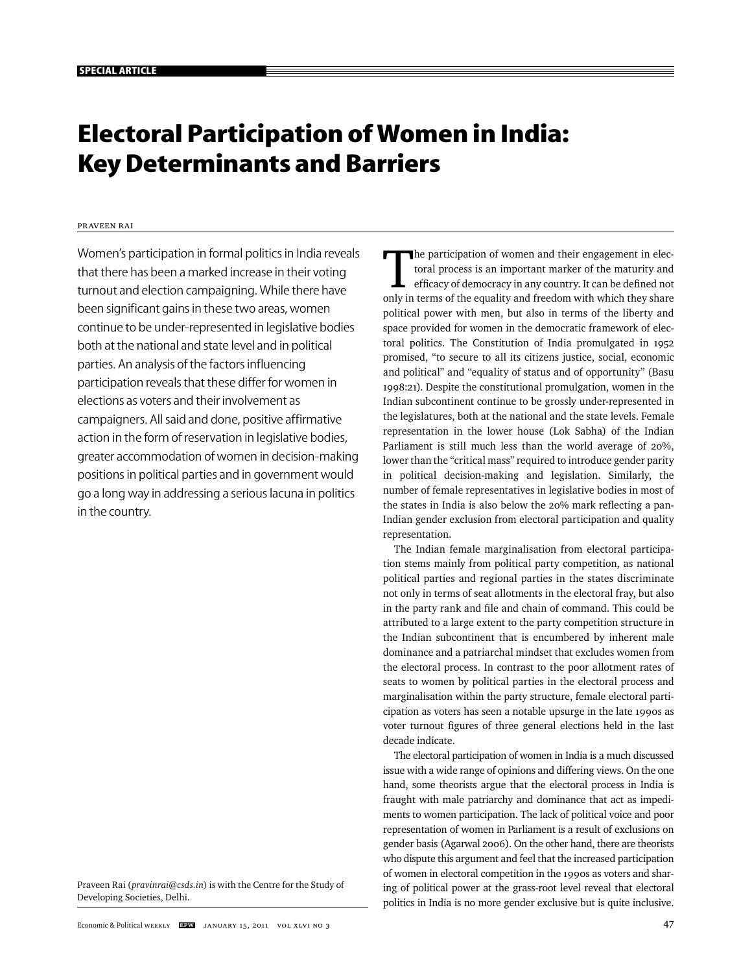# **Electoral Participation of Women in India: Key Determinants and Barriers**

## Praveen Rai

Women's participation in formal politics in India reveals that there has been a marked increase in their voting turnout and election campaigning. While there have been significant gains in these two areas, women continue to be under-represented in legislative bodies both at the national and state level and in political parties. An analysis of the factors influencing participation reveals that these differ for women in elections as voters and their involvement as campaigners. All said and done, positive affirmative action in the form of reservation in legislative bodies, greater accommodation of women in decision-making positions in political parties and in government would go a long way in addressing a serious lacuna in politics in the country.

Praveen Rai (*pravinrai@csds.in*) is with the Centre for the Study of Developing Societies, Delhi.

The participation of women and their engagement in electoral process is an important marker of the maturity and efficacy of democracy in any country. It can be defined not only in terms of the equality and freedom with whi toral process is an important marker of the maturity and only in terms of the equality and freedom with which they share political power with men, but also in terms of the liberty and space provided for women in the democratic framework of electoral politics. The Constitution of India promulgated in 1952 promised, "to secure to all its citizens justice, social, economic and political" and "equality of status and of opportunity" (Basu 1998:21). Despite the constitutional promulgation, women in the Indian subcontinent continue to be grossly under-represented in the legislatures, both at the national and the state levels. Female representation in the lower house (Lok Sabha) of the Indian Parliament is still much less than the world average of 20%, lower than the "critical mass" required to introduce gender parity in political decision-making and legislation. Similarly, the number of female representatives in legislative bodies in most of the states in India is also below the 20% mark reflecting a pan-Indian gender exclusion from electoral participation and quality representation.

The Indian female marginalisation from electoral participation stems mainly from political party competition, as national political parties and regional parties in the states discriminate not only in terms of seat allotments in the electoral fray, but also in the party rank and file and chain of command. This could be attributed to a large extent to the party competition structure in the Indian subcontinent that is encumbered by inherent male dominance and a patriarchal mindset that excludes women from the electoral process. In contrast to the poor allotment rates of seats to women by political parties in the electoral process and marginalisation within the party structure, female electoral participation as voters has seen a notable upsurge in the late 1990s as voter turnout figures of three general elections held in the last decade indicate.

The electoral participation of women in India is a much discussed issue with a wide range of opinions and differing views. On the one hand, some theorists argue that the electoral process in India is fraught with male patriarchy and dominance that act as impediments to women participation. The lack of political voice and poor representation of women in Parliament is a result of exclusions on gender basis (Agarwal 2006). On the other hand, there are theorists who dispute this argument and feel that the increased participation of women in electoral competition in the 1990s as voters and sharing of political power at the grass-root level reveal that electoral politics in India is no more gender exclusive but is quite inclusive.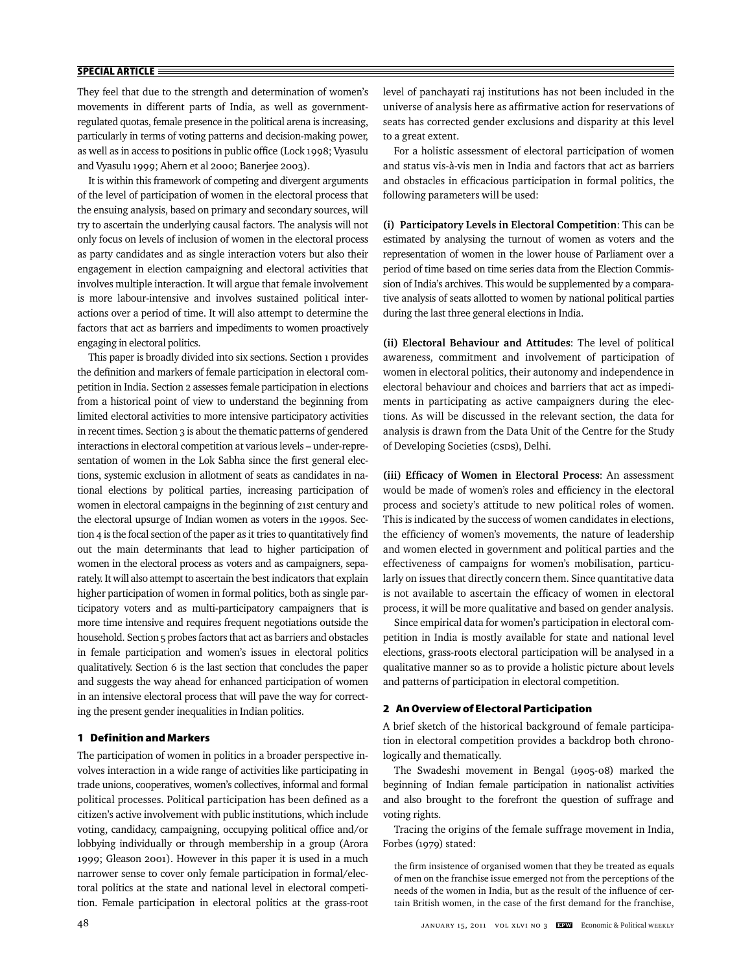They feel that due to the strength and determination of women's movements in different parts of India, as well as governmentregulated quotas, female presence in the political arena is increasing, particularly in terms of voting patterns and decision-making power, as well as in access to positions in public office (Lock 1998; Vyasulu and Vyasulu 1999; Ahern et al 2000; Banerjee 2003).

It is within this framework of competing and divergent arguments of the level of participation of women in the electoral process that the ensuing analysis, based on primary and secondary sources, will try to ascertain the underlying causal factors. The analysis will not only focus on levels of inclusion of women in the electoral process as party candidates and as single interaction voters but also their engagement in election campaigning and electoral activities that involves multiple interaction. It will argue that female involvement is more labour-intensive and involves sustained political interactions over a period of time. It will also attempt to determine the factors that act as barriers and impediments to women proactively engaging in electoral politics.

This paper is broadly divided into six sections. Section 1 provides the definition and markers of female participation in electoral competition in India. Section 2 assesses female participation in elections from a historical point of view to understand the beginning from limited electoral activities to more intensive participatory activities in recent times. Section 3 is about the thematic patterns of gendered interactions in electoral competition at various levels – under-representation of women in the Lok Sabha since the first general elections, systemic exclusion in allotment of seats as candidates in national elections by political parties, increasing participation of women in electoral campaigns in the beginning of 21st century and the electoral upsurge of Indian women as voters in the 1990s. Section  $4$  is the focal section of the paper as it tries to quantitatively find out the main determinants that lead to higher participation of women in the electoral process as voters and as campaigners, separately. It will also attempt to ascertain the best indicators that explain higher participation of women in formal politics, both as single participatory voters and as multi-participatory campaigners that is more time intensive and requires frequent negotiations outside the household. Section 5 probes factors that act as barriers and obstacles in female participation and women's issues in electoral politics qualitatively. Section 6 is the last section that concludes the paper and suggests the way ahead for enhanced participation of women in an intensive electoral process that will pave the way for correcting the present gender inequalities in Indian politics.

## **1 Definition and Markers**

The participation of women in politics in a broader perspective involves interaction in a wide range of activities like participating in trade unions, cooperatives, women's collectives, informal and formal political processes. Political participation has been defined as a citizen's active involvement with public institutions, which include voting, candidacy, campaigning, occupying political office and/or lobbying individually or through membership in a group (Arora 1999; Gleason 2001). However in this paper it is used in a much narrower sense to cover only female participation in formal/electoral politics at the state and national level in electoral competition. Female participation in electoral politics at the grass-root

level of panchayati raj institutions has not been included in the universe of analysis here as affirmative action for reservations of seats has corrected gender exclusions and disparity at this level to a great extent.

For a holistic assessment of electoral participation of women and status vis-à-vis men in India and factors that act as barriers and obstacles in efficacious participation in formal politics, the following parameters will be used:

**(i) Participatory Levels in Electoral Competition**: This can be estimated by analysing the turnout of women as voters and the representation of women in the lower house of Parliament over a period of time based on time series data from the Election Commission of India's archives. This would be supplemented by a comparative analysis of seats allotted to women by national political parties during the last three general elections in India.

**(ii) Electoral Behaviour and Attitudes**: The level of political awareness, commitment and involvement of participation of women in electoral politics, their autonomy and independence in electoral behaviour and choices and barriers that act as impediments in participating as active campaigners during the elections. As will be discussed in the relevant section, the data for analysis is drawn from the Data Unit of the Centre for the Study of Developing Societies (CSDS), Delhi.

(iii) Efficacy of Women in Electoral Process: An assessment would be made of women's roles and efficiency in the electoral process and society's attitude to new political roles of women. This is indicated by the success of women candidates in elections, the efficiency of women's movements, the nature of leadership and women elected in government and political parties and the effectiveness of campaigns for women's mobilisation, particularly on issues that directly concern them. Since quantitative data is not available to ascertain the efficacy of women in electoral process, it will be more qualitative and based on gender analysis.

Since empirical data for women's participation in electoral competition in India is mostly available for state and national level elections, grass-roots electoral participation will be analysed in a qualitative manner so as to provide a holistic picture about levels and patterns of participation in electoral competition.

## **2 An Overview of Electoral Participation**

A brief sketch of the historical background of female participation in electoral competition provides a backdrop both chronologically and thematically.

The Swadeshi movement in Bengal (1905-08) marked the beginning of Indian female participation in nationalist activities and also brought to the forefront the question of suffrage and voting rights.

Tracing the origins of the female suffrage movement in India, Forbes (1979) stated:

the firm insistence of organised women that they be treated as equals of men on the franchise issue emerged not from the perceptions of the needs of the women in India, but as the result of the influence of certain British women, in the case of the first demand for the franchise,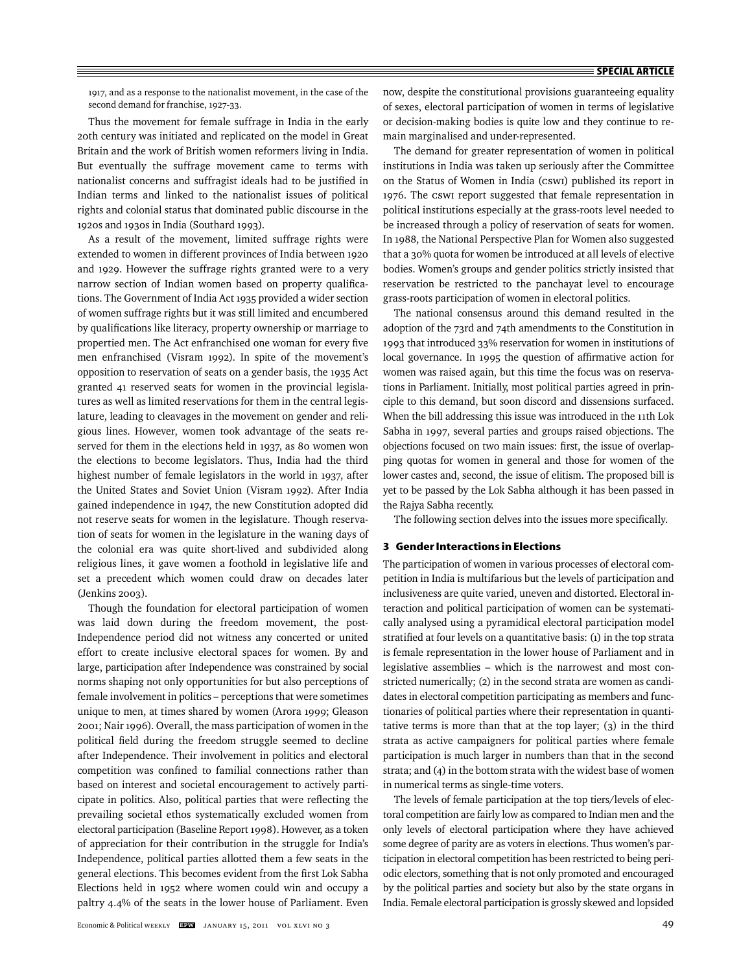1917, and as a response to the nationalist movement, in the case of the second demand for franchise, 1927-33.

Thus the movement for female suffrage in India in the early 20th century was initiated and replicated on the model in Great Britain and the work of British women reformers living in India. But eventually the suffrage movement came to terms with nationalist concerns and suffragist ideals had to be justified in Indian terms and linked to the nationalist issues of political rights and colonial status that dominated public discourse in the 1920s and 1930s in India (Southard 1993).

As a result of the movement, limited suffrage rights were extended to women in different provinces of India between 1920 and 1929. However the suffrage rights granted were to a very narrow section of Indian women based on property qualifications. The Government of India Act 1935 provided a wider section of women suffrage rights but it was still limited and encumbered by qualifications like literacy, property ownership or marriage to propertied men. The Act enfranchised one woman for every five men enfranchised (Visram 1992). In spite of the movement's opposition to reservation of seats on a gender basis, the 1935 Act granted 41 reserved seats for women in the provincial legislatures as well as limited reservations for them in the central legislature, leading to cleavages in the movement on gender and religious lines. However, women took advantage of the seats reserved for them in the elections held in 1937, as 80 women won the elections to become legislators. Thus, India had the third highest number of female legislators in the world in 1937, after the United States and Soviet Union (Visram 1992). After India gained independence in 1947, the new Constitution adopted did not reserve seats for women in the legislature. Though reservation of seats for women in the legislature in the waning days of the colonial era was quite short-lived and subdivided along religious lines, it gave women a foothold in legislative life and set a precedent which women could draw on decades later (Jenkins 2003).

Though the foundation for electoral participation of women was laid down during the freedom movement, the post-Independence period did not witness any concerted or united effort to create inclusive electoral spaces for women. By and large, participation after Independence was constrained by social norms shaping not only opportunities for but also perceptions of female involvement in politics – perceptions that were sometimes unique to men, at times shared by women (Arora 1999; Gleason 2001; Nair 1996). Overall, the mass participation of women in the political field during the freedom struggle seemed to decline after Independence. Their involvement in politics and electoral competition was confined to familial connections rather than based on interest and societal encouragement to actively participate in politics. Also, political parties that were reflecting the prevailing societal ethos systematically excluded women from electoral participation (Baseline Report 1998). However, as a token of appreciation for their contribution in the struggle for India's Independence, political parties allotted them a few seats in the general elections. This becomes evident from the first Lok Sabha Elections held in 1952 where women could win and occupy a paltry 4.4% of the seats in the lower house of Parliament. Even

now, despite the constitutional provisions guaranteeing equality of sexes, electoral participation of women in terms of legislative or decision-making bodies is quite low and they continue to remain marginalised and under-represented.

The demand for greater representation of women in political institutions in India was taken up seriously after the Committee on the Status of Women in India (CSWI) published its report in 1976. The cswi report suggested that female representation in political institutions especially at the grass-roots level needed to be increased through a policy of reservation of seats for women. In 1988, the National Perspective Plan for Women also suggested that a 30% quota for women be introduced at all levels of elective bodies. Women's groups and gender politics strictly insisted that reservation be restricted to the panchayat level to encourage grass-roots participation of women in electoral politics.

The national consensus around this demand resulted in the adoption of the 73rd and 74th amendments to the Constitution in 1993 that introduced 33% reservation for women in institutions of local governance. In 1995 the question of affirmative action for women was raised again, but this time the focus was on reservations in Parliament. Initially, most political parties agreed in principle to this demand, but soon discord and dissensions surfaced. When the bill addressing this issue was introduced in the 11th Lok Sabha in 1997, several parties and groups raised objections. The objections focused on two main issues: first, the issue of overlapping quotas for women in general and those for women of the lower castes and, second, the issue of elitism. The proposed bill is yet to be passed by the Lok Sabha although it has been passed in the Rajya Sabha recently.

The following section delves into the issues more specifically.

#### **3 Gender Interactions in Elections**

The participation of women in various processes of electoral competition in India is multifarious but the levels of participation and inclusiveness are quite varied, uneven and distorted. Electoral interaction and political participation of women can be systematically analysed using a pyramidical electoral participation model stratified at four levels on a quantitative basis: (1) in the top strata is female representation in the lower house of Parliament and in legislative assemblies – which is the narrowest and most constricted numerically; (2) in the second strata are women as candidates in electoral competition participating as members and functionaries of political parties where their representation in quantitative terms is more than that at the top layer; (3) in the third strata as active campaigners for political parties where female participation is much larger in numbers than that in the second strata; and (4) in the bottom strata with the widest base of women in numerical terms as single-time voters.

The levels of female participation at the top tiers/levels of electoral competition are fairly low as compared to Indian men and the only levels of electoral participation where they have achieved some degree of parity are as voters in elections. Thus women's participation in electoral competition has been restricted to being periodic electors, something that is not only promoted and encouraged by the political parties and society but also by the state organs in India. Female electoral participation is grossly skewed and lopsided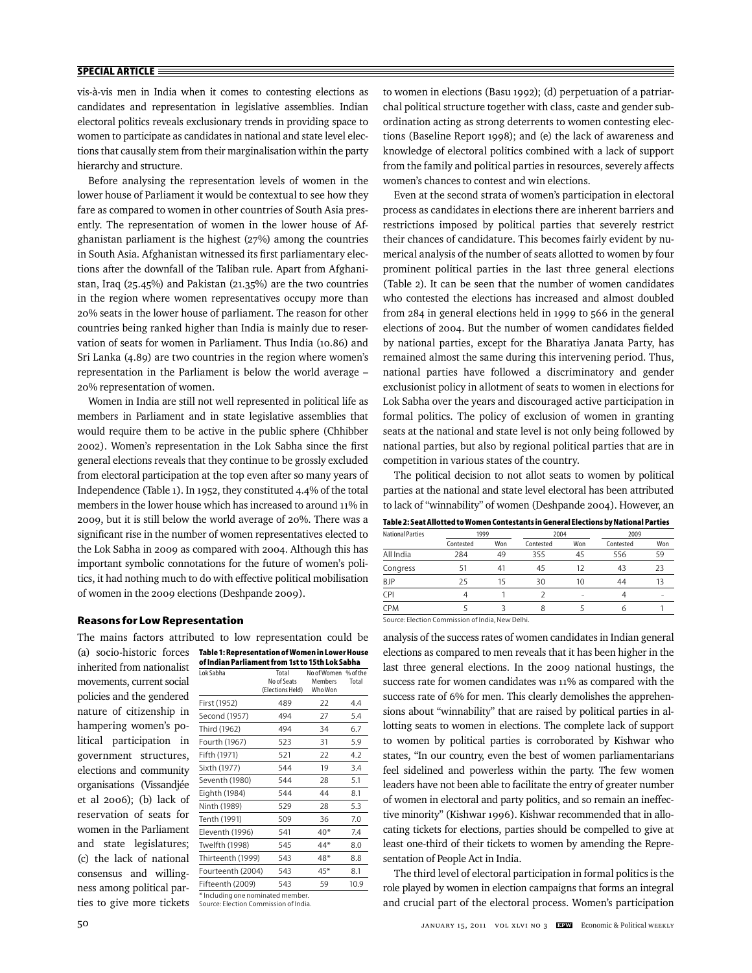vis-à-vis men in India when it comes to contesting elections as candidates and representation in legislative assemblies. Indian electoral politics reveals exclusionary trends in providing space to women to participate as candidates in national and state level elections that causally stem from their marginalisation within the party hierarchy and structure.

Before analysing the representation levels of women in the lower house of Parliament it would be contextual to see how they fare as compared to women in other countries of South Asia presently. The representation of women in the lower house of Afghanistan parliament is the highest (27%) among the countries in South Asia. Afghanistan witnessed its first parliamentary elections after the downfall of the Taliban rule. Apart from Afghanistan, Iraq (25.45%) and Pakistan (21.35%) are the two countries in the region where women representatives occupy more than 20% seats in the lower house of parliament. The reason for other countries being ranked higher than India is mainly due to reservation of seats for women in Parliament. Thus India (10.86) and Sri Lanka (4.89) are two countries in the region where women's representation in the Parliament is below the world average – 20% representation of women.

Women in India are still not well represented in political life as members in Parliament and in state legislative assemblies that would require them to be active in the public sphere (Chhibber 2002). Women's representation in the Lok Sabha since the first general elections reveals that they continue to be grossly excluded from electoral participation at the top even after so many years of Independence (Table 1). In 1952, they constituted 4.4% of the total members in the lower house which has increased to around 11% in 2009, but it is still below the world average of 20%. There was a significant rise in the number of women representatives elected to the Lok Sabha in 2009 as compared with 2004. Although this has important symbolic connotations for the future of women's politics, it had nothing much to do with effective political mobilisation of women in the 2009 elections (Deshpande 2009).

## **Reasons for Low Representation**

\* Including one nominated member. Source: Election Commission of India. ties to give more tickets inherited from nationalist movements, current social policies and the gendered nature of citizenship in hampering women's political participation in government structures, elections and community organisations (Vissandjée et al 2006); (b) lack of reservation of seats for women in the Parliament and state legislatures; (c) the lack of national consensus and willingness among political par-

**Table 1: Representation of Women in Lower House**  (a) socio-historic forces **of Indian Parliament from 1st to 15th Lok Sabha** The mains factors attributed to low representation could be

| Lok Sabha                         | Total<br>No of Seats<br>(Elections Held) | No of Women<br>Members<br>Who Won | % of the<br>Total |  |  |
|-----------------------------------|------------------------------------------|-----------------------------------|-------------------|--|--|
| First (1952)                      | 489                                      | 22                                | 4.4               |  |  |
| Second (1957)                     | 494                                      | 27                                | 5.4               |  |  |
| Third (1962)                      | 494                                      | 34                                | 6.7               |  |  |
| Fourth (1967)                     | 523                                      | 31                                | 5.9               |  |  |
| Fifth (1971)                      | 521                                      | 22                                | 4.2               |  |  |
| Sixth (1977)                      | 544                                      | 19                                | 3.4               |  |  |
| Seventh (1980)                    | 544                                      | 28                                | 5.1               |  |  |
| Eighth (1984)                     | 544                                      | 44                                | 8.1               |  |  |
| Ninth (1989)                      | 529                                      | 28                                | 5.3               |  |  |
| Tenth (1991)                      | 509                                      | 36                                | 7.0               |  |  |
| Eleventh (1996)                   | 541                                      | $40*$                             | 7.4               |  |  |
| Twelfth (1998)                    | 545                                      | $44*$                             | 8.0               |  |  |
| Thirteenth (1999)                 | 543                                      | $48*$                             | 8.8               |  |  |
| Fourteenth (2004)                 | 543                                      | $45*$                             | 8.1               |  |  |
| Fifteenth (2009)                  | 543                                      | 59                                | 10.9              |  |  |
| * lectuding and nominated mamber. |                                          |                                   |                   |  |  |

to women in elections (Basu 1992); (d) perpetuation of a patriarchal political structure together with class, caste and gender subordination acting as strong deterrents to women contesting elections (Baseline Report 1998); and (e) the lack of awareness and knowledge of electoral politics combined with a lack of support from the family and political parties in resources, severely affects women's chances to contest and win elections.

Even at the second strata of women's participation in electoral process as candidates in elections there are inherent barriers and restrictions imposed by political parties that severely restrict their chances of candidature. This becomes fairly evident by numerical analysis of the number of seats allotted to women by four prominent political parties in the last three general elections (Table 2). It can be seen that the number of women candidates who contested the elections has increased and almost doubled from 284 in general elections held in 1999 to 566 in the general elections of 2004. But the number of women candidates fielded by national parties, except for the Bharatiya Janata Party, has remained almost the same during this intervening period. Thus, national parties have followed a discriminatory and gender exclusionist policy in allotment of seats to women in elections for Lok Sabha over the years and discouraged active participation in formal politics. The policy of exclusion of women in granting seats at the national and state level is not only being followed by national parties, but also by regional political parties that are in competition in various states of the country.

The political decision to not allot seats to women by political parties at the national and state level electoral has been attributed to lack of "winnability" of women (Deshpande 2004). However, an

| Table 2: Seat Allotted to Women Contestants in General Elections by National Parties |
|--------------------------------------------------------------------------------------|
|--------------------------------------------------------------------------------------|

| <b>National Parties</b>                        | 1999      |     | 2004      |     | 2009      |     |
|------------------------------------------------|-----------|-----|-----------|-----|-----------|-----|
|                                                | Contested | Won | Contested | Won | Contested | Won |
| All India                                      | 284       | 49  | 355       | 45  | 556       | 59  |
| Congress                                       | 51        | 41  | 45        | 12  | 43        | 23  |
| <b>BJP</b>                                     | 25        | 15  | 30        | 10  | 44        | 13  |
| <b>CPI</b>                                     | 4         |     |           | -   | 4         |     |
| <b>CPM</b>                                     |           |     |           |     | 6         |     |
| Source: Election Commission of India New Delhi |           |     |           |     |           |     |

Source: Election Commission of India, New Delhi.

analysis of the success rates of women candidates in Indian general elections as compared to men reveals that it has been higher in the last three general elections. In the 2009 national hustings, the success rate for women candidates was 11% as compared with the success rate of 6% for men. This clearly demolishes the apprehensions about "winnability" that are raised by political parties in allotting seats to women in elections. The complete lack of support to women by political parties is corroborated by Kishwar who states, "In our country, even the best of women parliamentarians feel sidelined and powerless within the party. The few women leaders have not been able to facilitate the entry of greater number of women in electoral and party politics, and so remain an ineffective minority" (Kishwar 1996). Kishwar recommended that in allocating tickets for elections, parties should be compelled to give at least one-third of their tickets to women by amending the Representation of People Act in India.

The third level of electoral participation in formal politics is the role played by women in election campaigns that forms an integral and crucial part of the electoral process. Women's participation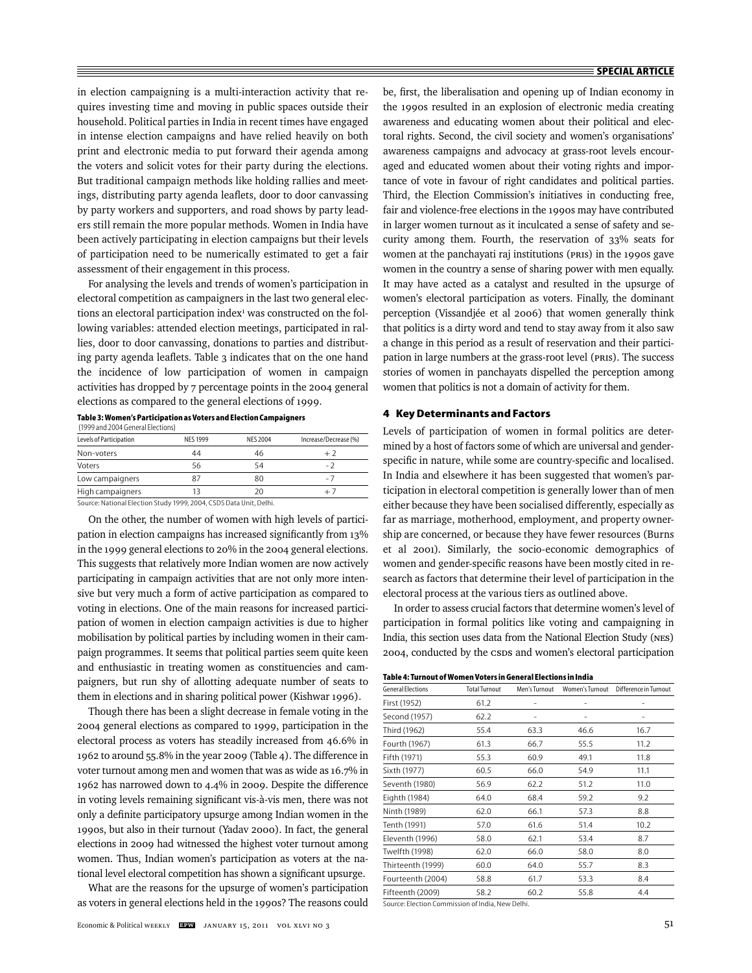in election campaigning is a multi-interaction activity that requires investing time and moving in public spaces outside their household. Political parties in India in recent times have engaged in intense election campaigns and have relied heavily on both print and electronic media to put forward their agenda among the voters and solicit votes for their party during the elections. But traditional campaign methods like holding rallies and meetings, distributing party agenda leaflets, door to door canvassing by party workers and supporters, and road shows by party leaders still remain the more popular methods. Women in India have been actively participating in election campaigns but their levels of participation need to be numerically estimated to get a fair assessment of their engagement in this process.

For analysing the levels and trends of women's participation in electoral competition as campaigners in the last two general elections an electoral participation index<sup>1</sup> was constructed on the following variables: attended election meetings, participated in rallies, door to door canvassing, donations to parties and distributing party agenda leaflets. Table 3 indicates that on the one hand the incidence of low participation of women in campaign activities has dropped by 7 percentage points in the 2004 general elections as compared to the general elections of 1999.

| (1999 and 2004 General Elections)                              |                |          |                       |
|----------------------------------------------------------------|----------------|----------|-----------------------|
| Levels of Participation                                        | <b>NFS1999</b> | NFS 2004 | Increase/Decrease (%) |
| Non-voters                                                     | 44             | 46       | $+2$                  |
| Voters                                                         | 56             | 54       | - 7                   |
| Low campaigners                                                | 87             | 80       | - 7                   |
| High campaigners                                               | 13             | 20       | $+7$                  |
| Source: National Election Study 1999-2004 CSDS Data Unit Delhi |                |          |                       |

**Table 3: Women's Participation as Voters and Election Campaigners**

Source: National Election Study 1999, 2004, CSDS Data Unit, Delhi.

On the other, the number of women with high levels of participation in election campaigns has increased significantly from 13% in the 1999 general elections to 20% in the 2004 general elections. This suggests that relatively more Indian women are now actively participating in campaign activities that are not only more intensive but very much a form of active participation as compared to voting in elections. One of the main reasons for increased participation of women in election campaign activities is due to higher mobilisation by political parties by including women in their campaign programmes. It seems that political parties seem quite keen and enthusiastic in treating women as constituencies and campaigners, but run shy of allotting adequate number of seats to them in elections and in sharing political power (Kishwar 1996).

Though there has been a slight decrease in female voting in the 2004 general elections as compared to 1999, participation in the electoral process as voters has steadily increased from 46.6% in 1962 to around 55.8% in the year 2009 (Table 4). The difference in voter turnout among men and women that was as wide as 16.7% in 1962 has narrowed down to 4.4% in 2009. Despite the difference in voting levels remaining significant vis-à-vis men, there was not only a definite participatory upsurge among Indian women in the 1990s, but also in their turnout (Yadav 2000). In fact, the general elections in 2009 had witnessed the highest voter turnout among women. Thus, Indian women's participation as voters at the national level electoral competition has shown a significant upsurge.

What are the reasons for the upsurge of women's participation as voters in general elections held in the 1990s? The reasons could be, first, the liberalisation and opening up of Indian economy in the 1990s resulted in an explosion of electronic media creating awareness and educating women about their political and electoral rights. Second, the civil society and women's organisations' awareness campaigns and advocacy at grass-root levels encouraged and educated women about their voting rights and importance of vote in favour of right candidates and political parties. Third, the Election Commission's initiatives in conducting free, fair and violence-free elections in the 1990s may have contributed in larger women turnout as it inculcated a sense of safety and security among them. Fourth, the reservation of 33% seats for women at the panchayati raj institutions (PRIs) in the 1990s gave women in the country a sense of sharing power with men equally. It may have acted as a catalyst and resulted in the upsurge of women's electoral participation as voters. Finally, the dominant perception (Vissandjée et al 2006) that women generally think that politics is a dirty word and tend to stay away from it also saw a change in this period as a result of reservation and their participation in large numbers at the grass-root level (PRIs). The success stories of women in panchayats dispelled the perception among women that politics is not a domain of activity for them.

#### **4 Key Determinants and Factors**

Levels of participation of women in formal politics are determined by a host of factors some of which are universal and genderspecific in nature, while some are country-specific and localised. In India and elsewhere it has been suggested that women's participation in electoral competition is generally lower than of men either because they have been socialised differently, especially as far as marriage, motherhood, employment, and property ownership are concerned, or because they have fewer resources (Burns et al 2001). Similarly, the socio-economic demographics of women and gender-specific reasons have been mostly cited in research as factors that determine their level of participation in the electoral process at the various tiers as outlined above.

In order to assess crucial factors that determine women's level of participation in formal politics like voting and campaigning in India, this section uses data from the National Election Study (NES) 2004, conducted by the CSDS and women's electoral participation

| <b>General Elections</b> | <b>Total Turnout</b> | Men's Turnout | Women's Turnout | Difference in Turnout |
|--------------------------|----------------------|---------------|-----------------|-----------------------|
| First (1952)             | 61.2                 |               |                 |                       |
| Second (1957)            | 62.2                 | -             | -               | ۰                     |
| Third (1962)             | 55.4                 | 63.3          | 46.6            | 16.7                  |
| Fourth (1967)            | 61.3                 | 66.7          | 55.5            | 11.2                  |
| Fifth (1971)             | 55.3                 | 60.9          | 49.1            | 11.8                  |
| Sixth (1977)             | 60.5                 | 66.0          | 54.9            | 11.1                  |
| Seventh (1980)           | 56.9                 | 62.2          | 51.2            | 11.0                  |
| Eighth (1984)            | 64.0                 | 68.4          | 59.2            | 9.2                   |
| Ninth (1989)             | 62.0                 | 66.1          | 57.3            | 8.8                   |
| Tenth (1991)             | 57.0                 | 61.6          | 51.4            | 10.2                  |
| Eleventh (1996)          | 58.0                 | 62.1          | 53.4            | 8.7                   |
| Twelfth (1998)           | 62.0                 | 66.0          | 58.0            | 8.0                   |
| Thirteenth (1999)        | 60.0                 | 64.0          | 55.7            | 8.3                   |
| Fourteenth (2004)        | 58.8                 | 61.7          | 53.3            | 8.4                   |
| Fifteenth (2009)         | 58.2                 | 60.2          | 55.8            | 4.4                   |

Source: Election Commission of India, New Delhi.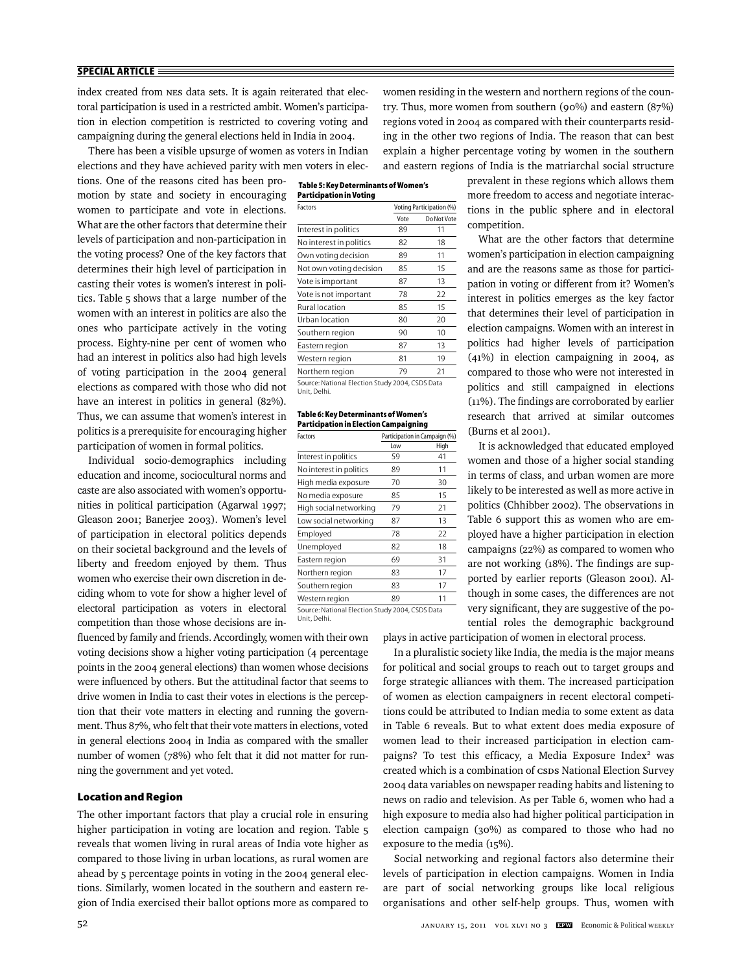index created from NES data sets. It is again reiterated that electoral participation is used in a restricted ambit. Women's participation in election competition is restricted to covering voting and campaigning during the general elections held in India in 2004.

There has been a visible upsurge of women as voters in Indian elections and they have achieved parity with men voters in elec-

tions. One of the reasons cited has been promotion by state and society in encouraging women to participate and vote in elections. What are the other factors that determine their levels of participation and non-participation in the voting process? One of the key factors that determines their high level of participation in casting their votes is women's interest in politics. Table 5 shows that a large number of the women with an interest in politics are also the ones who participate actively in the voting process. Eighty-nine per cent of women who had an interest in politics also had high levels of voting participation in the 2004 general elections as compared with those who did not have an interest in politics in general (82%). Thus, we can assume that women's interest in politics is a prerequisite for encouraging higher participation of women in formal politics.

Individual socio-demographics including education and income, sociocultural norms and caste are also associated with women's opportunities in political participation (Agarwal 1997; Gleason 2001; Banerjee 2003). Women's level of participation in electoral politics depends on their societal background and the levels of liberty and freedom enjoyed by them. Thus women who exercise their own discretion in deciding whom to vote for show a higher level of electoral participation as voters in electoral competition than those whose decisions are in-

fluenced by family and friends. Accordingly, women with their own voting decisions show a higher voting participation (4 percentage points in the 2004 general elections) than women whose decisions were influenced by others. But the attitudinal factor that seems to drive women in India to cast their votes in elections is the perception that their vote matters in electing and running the government. Thus 87%, who felt that their vote matters in elections, voted in general elections 2004 in India as compared with the smaller number of women (78%) who felt that it did not matter for running the government and yet voted.

#### **Location and Region**

The other important factors that play a crucial role in ensuring higher participation in voting are location and region. Table 5 reveals that women living in rural areas of India vote higher as compared to those living in urban locations, as rural women are ahead by 5 percentage points in voting in the 2004 general elections. Similarly, women located in the southern and eastern region of India exercised their ballot options more as compared to

women residing in the western and northern regions of the country. Thus, more women from southern (90%) and eastern (87%) regions voted in 2004 as compared with their counterparts residing in the other two regions of India. The reason that can best explain a higher percentage voting by women in the southern and eastern regions of India is the matriarchal social structure

| Table 5: Key Determinants of Women's |
|--------------------------------------|
| Participation in Voting              |
|                                      |

| Factors                                                          | <b>Voting Participation (%)</b> |             |  |
|------------------------------------------------------------------|---------------------------------|-------------|--|
|                                                                  | Vote                            | Do Not Vote |  |
| Interest in politics                                             | 89                              | 11          |  |
| No interest in politics                                          | 82                              | 18          |  |
| Own voting decision                                              | 89                              | 11          |  |
| Not own voting decision                                          | 85                              | 15          |  |
| Vote is important                                                | 87                              | 13          |  |
| Vote is not important                                            | 78                              | 22          |  |
| <b>Rural location</b>                                            | 85                              | 15          |  |
| Urban location                                                   | 80                              | 20          |  |
| Southern region                                                  | 90                              | 10          |  |
| Eastern region                                                   | 87                              | 13          |  |
| Western region                                                   | 81                              | 19          |  |
| Northern region                                                  | 79                              | 21          |  |
| Source: National Election Study 2004, CSDS Data<br>Lista Distint |                                 |             |  |

Unit, Delhi.

#### **Table 6: Key Determinants of Women's Participation in Election Campaigning**

| Factors                 |     | Participation in Campaign (%) |
|-------------------------|-----|-------------------------------|
|                         | Low | High                          |
| Interest in politics    | 59  | 41                            |
| No interest in politics | 89  | 11                            |
| High media exposure     | 70  | 30                            |
| No media exposure       | 85  | 15                            |
| High social networking  | 79  | 21                            |
| Low social networking   | 87  | 13                            |
| Employed                | 78  | 22                            |
| Unemployed              | 82  | 18                            |
| Eastern region          | 69  | 31                            |
| Northern region         | 83  | 17                            |
| Southern region         | 83  | 17                            |
| Western region          | 89  | 11                            |
|                         |     |                               |

Unit, Delhi.

Source: National Election Study 2004, CSDS Data

prevalent in these regions which allows them more freedom to access and negotiate interactions in the public sphere and in electoral competition.

What are the other factors that determine women's participation in election campaigning and are the reasons same as those for participation in voting or different from it? Women's interest in politics emerges as the key factor that determines their level of participation in election campaigns. Women with an interest in politics had higher levels of participation (41%) in election campaigning in 2004, as compared to those who were not interested in politics and still campaigned in elections  $(11%)$ . The findings are corroborated by earlier research that arrived at similar outcomes (Burns et al 2001).

It is acknowledged that educated employed women and those of a higher social standing in terms of class, and urban women are more likely to be interested as well as more active in politics (Chhibber 2002). The observations in Table 6 support this as women who are employed have a higher participation in election campaigns (22%) as compared to women who are not working  $(18%)$ . The findings are supported by earlier reports (Gleason 2001). Although in some cases, the differences are not very significant, they are suggestive of the potential roles the demographic background

plays in active participation of women in electoral process.

In a pluralistic society like India, the media is the major means for political and social groups to reach out to target groups and forge strategic alliances with them. The increased participation of women as election campaigners in recent electoral competitions could be attributed to Indian media to some extent as data in Table 6 reveals. But to what extent does media exposure of women lead to their increased participation in election campaigns? To test this efficacy, a Media Exposure Index<sup>2</sup> was created which is a combination of CSDS National Election Survey 2004 data variables on newspaper reading habits and listening to news on radio and television. As per Table 6, women who had a high exposure to media also had higher political participation in e lection campaign (30%) as compared to those who had no exposure to the media (15%).

Social networking and regional factors also determine their levels of participation in election campaigns. Women in India are part of social networking groups like local religious organisations and other self-help groups. Thus, women with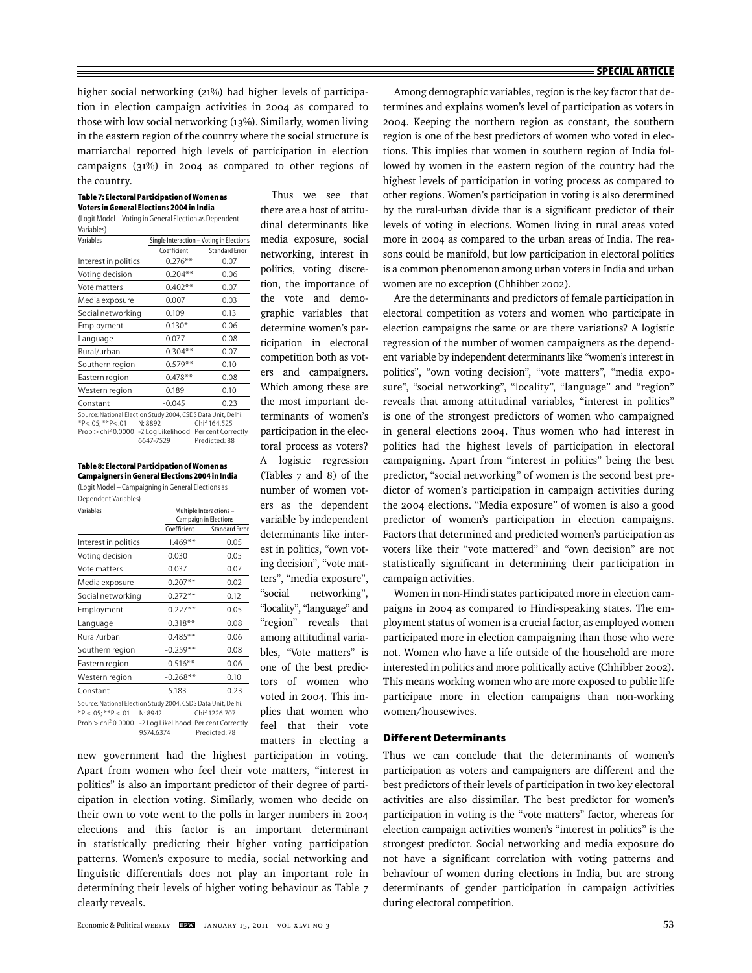higher social networking (21%) had higher levels of participation in election campaign activities in 2004 as compared to those with low social networking (13%). Similarly, women living in the eastern region of the country where the social structure is matriarchal reported high levels of participation in election campaigns (31%) in 2004 as compared to other regions of the country.

#### **Table 7: Electoral Participation of Women as Voters in General Elections 2004 in India**

(Logit Model – Voting in General Election as Dependent Variables)

| Variables                                                    | Single Interaction - Voting in Elections |                       |
|--------------------------------------------------------------|------------------------------------------|-----------------------|
|                                                              | Coefficient                              | <b>Standard Frror</b> |
| Interest in politics                                         | $0.276**$                                | 0.07                  |
| Voting decision                                              | $0.204**$                                | 0.06                  |
| Vote matters                                                 | $0.402**$                                | 0.07                  |
| Media exposure                                               | 0.007                                    | 0.03                  |
| Social networking                                            | 0.109                                    | 0.13                  |
| Employment                                                   | $0.130*$                                 | 0.06                  |
| Language                                                     | 0.077                                    | 0.08                  |
| Rural/urban                                                  | $0.304**$                                | 0.07                  |
| Southern region                                              | $0.579**$                                | 0.10                  |
| Eastern region                                               | $0.478**$                                | 0.08                  |
| Western region                                               | 0.189                                    | 0.10                  |
| Constant                                                     | $-0.045$                                 | 0.23                  |
| Source: National Election Study 2004, CSDS Data Unit, Delhi. |                                          |                       |

 $*P < .05$ ;  $*P < .01$  N: 8892 Chi<sup>2</sup> 164.525 Prob > chi2 0.0000 -2 Log Likelihood Per cent Correctly 6647-7529 Predicted: 88

**Table 8: Electoral Participation of Women as Campaigners in General Elections 2004 in India** (Logit Model – Campaigning in General Elections as

| Dependent Variables) |  |
|----------------------|--|

| Variables                                                    |             | Multiple Interactions-<br><b>Campaign in Elections</b> |  |  |
|--------------------------------------------------------------|-------------|--------------------------------------------------------|--|--|
|                                                              | Coefficient | <b>Standard Frror</b>                                  |  |  |
| Interest in politics                                         | $1.469**$   | 0.05                                                   |  |  |
| Voting decision                                              | 0.030       | 0.05                                                   |  |  |
| Vote matters                                                 | 0.037       | 0.07                                                   |  |  |
| Media exposure                                               | $0.207**$   | 0.02                                                   |  |  |
| Social networking                                            | $0.272**$   | 0.12                                                   |  |  |
| Employment                                                   | $0.227**$   | 0.05                                                   |  |  |
| Language                                                     | $0.318**$   | 0.08                                                   |  |  |
| Rural/urban                                                  | $0.485**$   | 0.06                                                   |  |  |
| Southern region                                              | $-0.259**$  | 0.08                                                   |  |  |
| Eastern region                                               | $0.516**$   | 0.06                                                   |  |  |
| Western region                                               | $-0.268**$  | 0.10                                                   |  |  |
| Constant                                                     | $-5.183$    | 0.23                                                   |  |  |
| Source: National Election Study 2004, CSDS Data Unit, Delhi. |             |                                                        |  |  |

 $*P < .05; **P < .01$  N: 8942 Chi<sup>2</sup> 1226.707 Prob > chi2 0.0000 -2 Log Likelihood Per cent Correctly 9574.6374 Predicted: 78

there are a host of attitudinal determinants like media exposure, social networking, interest in politics, voting discretion, the importance of the vote and demographic variables that determine women's participation in electoral competition both as voters and campaigners. Which among these are the most important determinants of women's participation in the electoral process as voters? A logistic regression (Tables 7 and 8) of the number of women voters as the dependent variable by independent determinants like interest in politics, "own voting decision", "vote matters", "media exposure", "social networking", "locality", "language" and "region" reveals that among attitudinal variables, "Vote matters" is one of the best predictors of women who voted in 2004. This implies that women who feel that their vote matters in electing a

Thus we see that

new government had the highest participation in voting. Apart from women who feel their vote matters, "interest in politics" is also an important predictor of their degree of participation in election voting. Similarly, women who decide on their own to vote went to the polls in larger numbers in 2004 elections and this factor is an important determinant in statistically predicting their higher voting participation patterns. Women's exposure to media, social networking and linguistic differentials does not play an important role in determining their levels of higher voting behaviour as Table 7 clearly reveals.

Among demographic variables, region is the key factor that determines and explains women's level of participation as voters in 2004. Keeping the northern region as constant, the southern region is one of the best predictors of women who voted in elections. This implies that women in southern region of India followed by women in the eastern region of the country had the highest levels of participation in voting process as compared to other regions. Women's participation in voting is also determined by the rural-urban divide that is a significant predictor of their levels of voting in elections. Women living in rural areas voted more in 2004 as compared to the urban areas of India. The reasons could be manifold, but low participation in electoral politics is a common phenomenon among urban voters in India and urban women are no exception (Chhibber 2002).

Are the determinants and predictors of female participation in electoral competition as voters and women who participate in election campaigns the same or are there variations? A logistic regression of the number of women campaigners as the dependent variable by independent determinants like "women's interest in politics", "own voting decision", "vote matters", "media exposure", "social networking", "locality", "language" and "region" reveals that among attitudinal variables, "interest in politics" is one of the strongest predictors of women who campaigned in general elections 2004. Thus women who had interest in politics had the highest levels of participation in electoral campaigning. Apart from "interest in politics" being the best predictor, "social networking" of women is the second best predictor of women's participation in campaign activities during the 2004 elections. "Media exposure" of women is also a good predictor of women's participation in election campaigns. Factors that determined and predicted women's participation as voters like their "vote mattered" and "own decision" are not statistically significant in determining their participation in campaign activities.

Women in non-Hindi states participated more in election campaigns in 2004 as compared to Hindi-speaking states. The employment status of women is a crucial factor, as employed women participated more in election campaigning than those who were not. Women who have a life outside of the household are more interested in politics and more politically active (Chhibber 2002). This means working women who are more exposed to public life participate more in election campaigns than non-working women/housewives.

## **Different Determinants**

Thus we can conclude that the determinants of women's participation as voters and campaigners are different and the best predictors of their levels of participation in two key electoral activities are also dissimilar. The best predictor for women's participation in voting is the "vote matters" factor, whereas for election campaign activities women's "interest in politics" is the strongest predictor. Social networking and media exposure do not have a significant correlation with voting patterns and behaviour of women during elections in India, but are strong determinants of gender participation in campaign activities during electoral competition.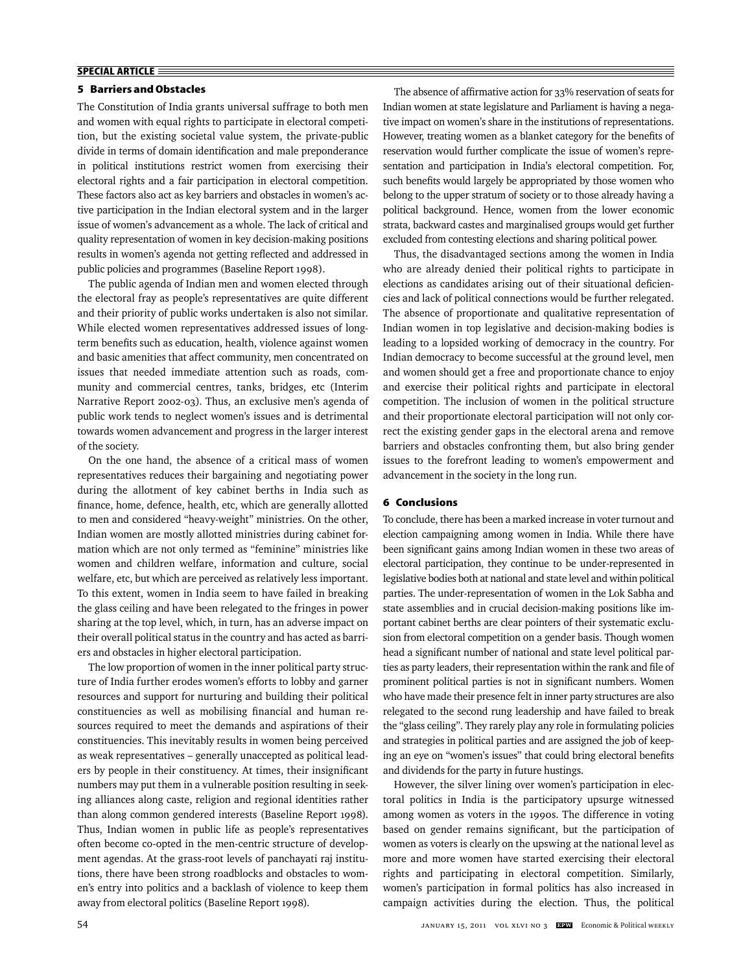## **5 Barriers and Obstacles**

The Constitution of India grants universal suffrage to both men and women with equal rights to participate in electoral competition, but the existing societal value system, the private-public divide in terms of domain identification and male preponderance in political institutions restrict women from exercising their electoral rights and a fair participation in electoral competition. These factors also act as key barriers and obstacles in women's active participation in the Indian electoral system and in the larger issue of women's advancement as a whole. The lack of critical and quality representation of women in key decision-making positions results in women's agenda not getting reflected and addressed in public policies and programmes (Baseline Report 1998).

The public agenda of Indian men and women elected through the electoral fray as people's representatives are quite different and their priority of public works undertaken is also not similar. While elected women representatives addressed issues of longterm benefits such as education, health, violence against women and basic amenities that affect community, men concentrated on issues that needed immediate attention such as roads, community and commercial centres, tanks, bridges, etc (Interim Narrative Report 2002-03). Thus, an exclusive men's agenda of public work tends to neglect women's issues and is detrimental towards women advancement and progress in the larger interest of the society.

On the one hand, the absence of a critical mass of women representatives reduces their bargaining and negotiating power during the allotment of key cabinet berths in India such as finance, home, defence, health, etc, which are generally allotted to men and considered "heavy-weight" ministries. On the other, Indian women are mostly allotted ministries during cabinet formation which are not only termed as "feminine" ministries like women and children welfare, information and culture, social welfare, etc, but which are perceived as relatively less important. To this extent, women in India seem to have failed in breaking the glass ceiling and have been relegated to the fringes in power sharing at the top level, which, in turn, has an adverse impact on their overall political status in the country and has acted as barriers and obstacles in higher electoral participation.

The low proportion of women in the inner political party structure of India further erodes women's efforts to lobby and garner resources and support for nurturing and building their political constituencies as well as mobilising financial and human resources required to meet the demands and aspirations of their constituencies. This inevitably results in women being perceived as weak representatives – generally unaccepted as political leaders by people in their constituency. At times, their insignificant numbers may put them in a vulnerable position resulting in seeking alliances along caste, religion and regional identities rather than along common gendered interests (Baseline Report 1998). Thus, Indian women in public life as people's representatives often become co-opted in the men-centric structure of development agendas. At the grass-root levels of panchayati raj institutions, there have been strong roadblocks and obstacles to women's entry into politics and a backlash of violence to keep them away from electoral politics (Baseline Report 1998).

The absence of affirmative action for 33% reservation of seats for Indian women at state legislature and Parliament is having a negative impact on women's share in the institutions of representations. However, treating women as a blanket category for the benefits of reservation would further complicate the issue of women's representation and participation in India's electoral competition. For, such benefits would largely be appropriated by those women who belong to the upper stratum of society or to those already having a political background. Hence, women from the lower economic strata, backward castes and marginalised groups would get further excluded from contesting elections and sharing political power.

Thus, the disadvantaged sections among the women in India who are already denied their political rights to participate in elections as candidates arising out of their situational deficiencies and lack of political connections would be further relegated. The absence of proportionate and qualitative representation of Indian women in top legislative and decision-making bodies is leading to a lopsided working of democracy in the country. For Indian democracy to become successful at the ground level, men and women should get a free and proportionate chance to enjoy and exercise their political rights and participate in electoral competition. The inclusion of women in the political structure and their proportionate electoral participation will not only correct the existing gender gaps in the electoral arena and remove barriers and obstacles confronting them, but also bring gender issues to the forefront leading to women's empowerment and advancement in the society in the long run.

## **6 Conclusions**

To conclude, there has been a marked increase in voter turnout and election campaigning among women in India. While there have been significant gains among Indian women in these two areas of electoral participation, they continue to be under-represented in legislative bodies both at national and state level and within political parties. The under-representation of women in the Lok Sabha and state assemblies and in crucial decision-making positions like important cabinet berths are clear pointers of their systematic exclusion from electoral competition on a gender basis. Though women head a significant number of national and state level political parties as party leaders, their representation within the rank and file of prominent political parties is not in significant numbers. Women who have made their presence felt in inner party structures are also relegated to the second rung leadership and have failed to break the "glass ceiling". They rarely play any role in formulating policies and strategies in political parties and are assigned the job of keeping an eye on "women's issues" that could bring electoral benefits and dividends for the party in future hustings.

However, the silver lining over women's participation in electoral politics in India is the participatory upsurge witnessed among women as voters in the 1990s. The difference in voting based on gender remains significant, but the participation of women as voters is clearly on the upswing at the national level as more and more women have started exercising their electoral rights and participating in electoral competition. Similarly, women's participation in formal politics has also increased in campaign activities during the election. Thus, the political